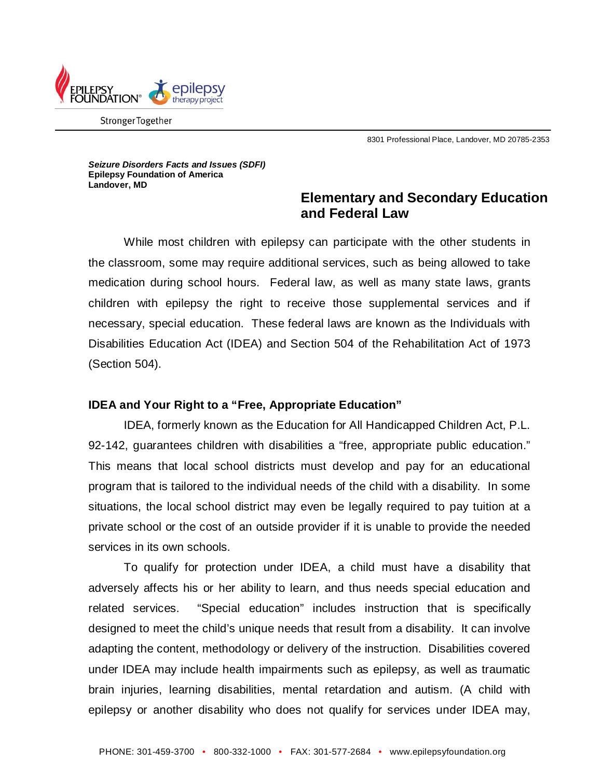

Stronger Together

8301 Professional Place, Landover, MD 20785-2353

*Seizure Disorders Facts and Issues (SDFI)*  **Epilepsy Foundation of America Landover, MD**

## **Elementary and Secondary Education and Federal Law**

While most children with epilepsy can participate with the other students in the classroom, some may require additional services, such as being allowed to take medication during school hours. Federal law, as well as many state laws, grants children with epilepsy the right to receive those supplemental services and if necessary, special education. These federal laws are known as the Individuals with Disabilities Education Act (IDEA) and Section 504 of the Rehabilitation Act of 1973 (Section 504).

## **IDEA and Your Right to a "Free, Appropriate Education"**

IDEA, formerly known as the Education for All Handicapped Children Act, P.L. 92-142, guarantees children with disabilities a "free, appropriate public education." This means that local school districts must develop and pay for an educational program that is tailored to the individual needs of the child with a disability. In some situations, the local school district may even be legally required to pay tuition at a private school or the cost of an outside provider if it is unable to provide the needed services in its own schools.

To qualify for protection under IDEA, a child must have a disability that adversely affects his or her ability to learn, and thus needs special education and related services. "Special education" includes instruction that is specifically designed to meet the child's unique needs that result from a disability. It can involve adapting the content, methodology or delivery of the instruction. Disabilities covered under IDEA may include health impairments such as epilepsy, as well as traumatic brain injuries, learning disabilities, mental retardation and autism. (A child with epilepsy or another disability who does not qualify for services under IDEA may,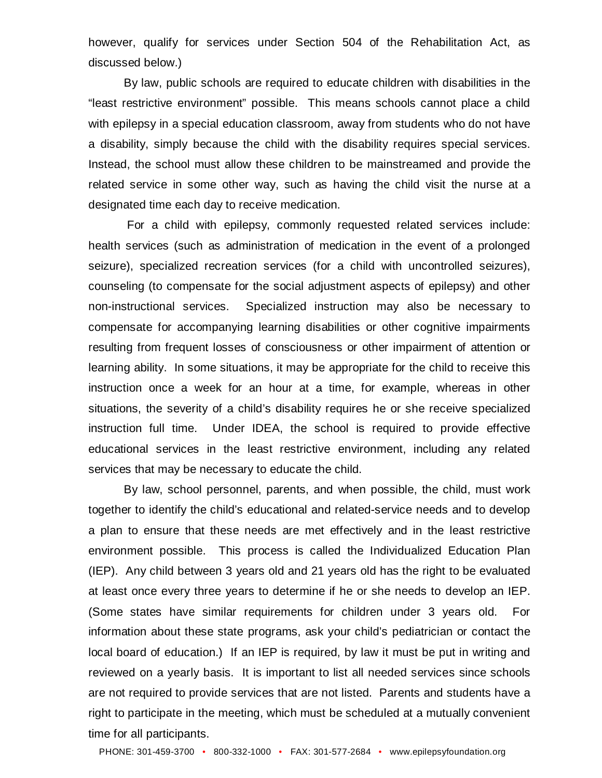however, qualify for services under Section 504 of the Rehabilitation Act, as discussed below.)

By law, public schools are required to educate children with disabilities in the "least restrictive environment" possible. This means schools cannot place a child with epilepsy in a special education classroom, away from students who do not have a disability, simply because the child with the disability requires special services. Instead, the school must allow these children to be mainstreamed and provide the related service in some other way, such as having the child visit the nurse at a designated time each day to receive medication.

For a child with epilepsy, commonly requested related services include: health services (such as administration of medication in the event of a prolonged seizure), specialized recreation services (for a child with uncontrolled seizures), counseling (to compensate for the social adjustment aspects of epilepsy) and other non-instructional services. Specialized instruction may also be necessary to compensate for accompanying learning disabilities or other cognitive impairments resulting from frequent losses of consciousness or other impairment of attention or learning ability. In some situations, it may be appropriate for the child to receive this instruction once a week for an hour at a time, for example, whereas in other situations, the severity of a child's disability requires he or she receive specialized instruction full time. Under IDEA, the school is required to provide effective educational services in the least restrictive environment, including any related services that may be necessary to educate the child.

By law, school personnel, parents, and when possible, the child, must work together to identify the child's educational and related-service needs and to develop a plan to ensure that these needs are met effectively and in the least restrictive environment possible. This process is called the Individualized Education Plan (IEP). Any child between 3 years old and 21 years old has the right to be evaluated at least once every three years to determine if he or she needs to develop an IEP. (Some states have similar requirements for children under 3 years old. For information about these state programs, ask your child's pediatrician or contact the local board of education.) If an IEP is required, by law it must be put in writing and reviewed on a yearly basis. It is important to list all needed services since schools are not required to provide services that are not listed. Parents and students have a right to participate in the meeting, which must be scheduled at a mutually convenient time for all participants.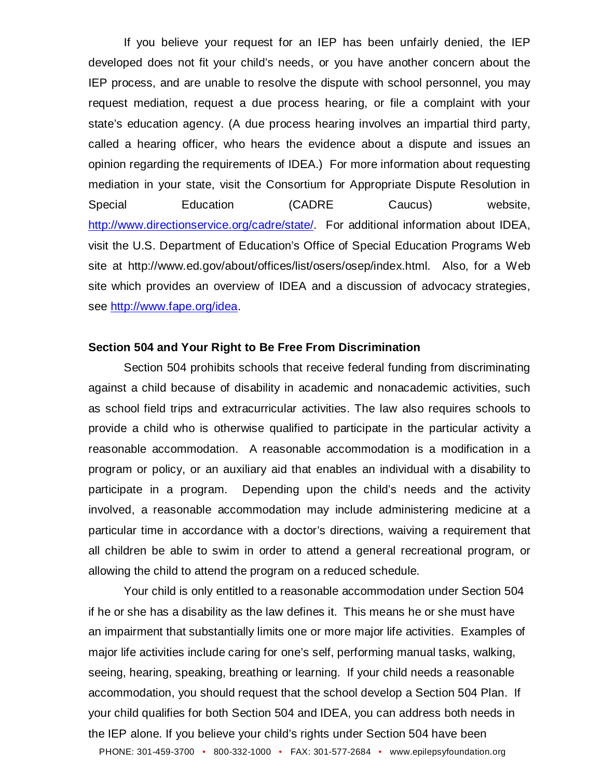If you believe your request for an IEP has been unfairly denied, the IEP developed does not fit your child's needs, or you have another concern about the IEP process, and are unable to resolve the dispute with school personnel, you may request mediation, request a due process hearing, or file a complaint with your state's education agency. (A due process hearing involves an impartial third party, called a hearing officer, who hears the evidence about a dispute and issues an opinion regarding the requirements of IDEA.) For more information about requesting mediation in your state, visit the Consortium for Appropriate Dispute Resolution in Special Education (CADRE Caucus) website, [http://www.directionservice.org/cadre/state/.](http://www.directionservice.org/cadre/state/) For additional information about IDEA, visit the U.S. Department of Education's Office of Special Education Programs Web site at http://www.ed.gov/about/offices/list/osers/osep/index.html. Also, for a Web site which provides an overview of IDEA and a discussion of advocacy strategies, see [http://www.fape.org/idea.](http://www.fape.org/idea)

## **Section 504 and Your Right to Be Free From Discrimination**

Section 504 prohibits schools that receive federal funding from discriminating against a child because of disability in academic and nonacademic activities, such as school field trips and extracurricular activities. The law also requires schools to provide a child who is otherwise qualified to participate in the particular activity a reasonable accommodation. A reasonable accommodation is a modification in a program or policy, or an auxiliary aid that enables an individual with a disability to participate in a program. Depending upon the child's needs and the activity involved, a reasonable accommodation may include administering medicine at a particular time in accordance with a doctor's directions, waiving a requirement that all children be able to swim in order to attend a general recreational program, or allowing the child to attend the program on a reduced schedule.

Your child is only entitled to a reasonable accommodation under Section 504 if he or she has a disability as the law defines it. This means he or she must have an impairment that substantially limits one or more major life activities. Examples of major life activities include caring for one's self, performing manual tasks, walking, seeing, hearing, speaking, breathing or learning. If your child needs a reasonable accommodation, you should request that the school develop a Section 504 Plan. If your child qualifies for both Section 504 and IDEA, you can address both needs in the IEP alone. If you believe your child's rights under Section 504 have been

PHONE: 301-459-3700 • 800-332-1000 • FAX: 301-577-2684 • www.epilepsyfoundation.org